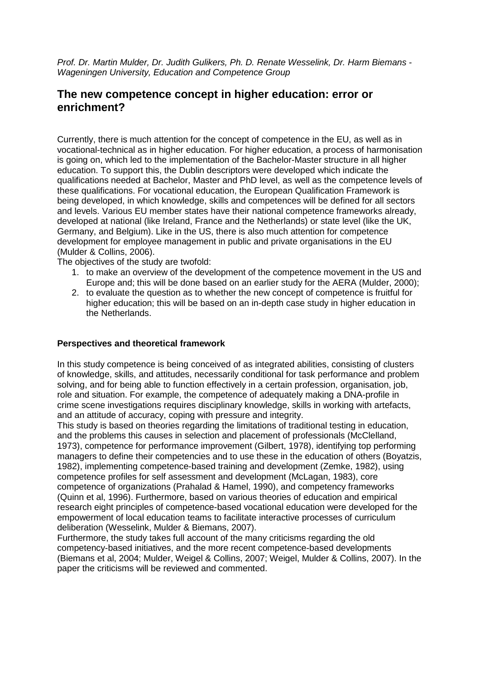Prof. Dr. Martin Mulder, Dr. Judith Gulikers, Ph. D. Renate Wesselink, Dr. Harm Biemans - Wageningen University, Education and Competence Group

# **The new competence concept in higher education: error or enrichment?**

Currently, there is much attention for the concept of competence in the EU, as well as in vocational-technical as in higher education. For higher education, a process of harmonisation is going on, which led to the implementation of the Bachelor-Master structure in all higher education. To support this, the Dublin descriptors were developed which indicate the qualifications needed at Bachelor, Master and PhD level, as well as the competence levels of these qualifications. For vocational education, the European Qualification Framework is being developed, in which knowledge, skills and competences will be defined for all sectors and levels. Various EU member states have their national competence frameworks already, developed at national (like Ireland, France and the Netherlands) or state level (like the UK, Germany, and Belgium). Like in the US, there is also much attention for competence development for employee management in public and private organisations in the EU (Mulder & Collins, 2006).

The objectives of the study are twofold:

- 1. to make an overview of the development of the competence movement in the US and Europe and; this will be done based on an earlier study for the AERA (Mulder, 2000);
- 2. to evaluate the question as to whether the new concept of competence is fruitful for higher education; this will be based on an in-depth case study in higher education in the Netherlands.

## **Perspectives and theoretical framework**

In this study competence is being conceived of as integrated abilities, consisting of clusters of knowledge, skills, and attitudes, necessarily conditional for task performance and problem solving, and for being able to function effectively in a certain profession, organisation, job, role and situation. For example, the competence of adequately making a DNA-profile in crime scene investigations requires disciplinary knowledge, skills in working with artefacts, and an attitude of accuracy, coping with pressure and integrity.

This study is based on theories regarding the limitations of traditional testing in education, and the problems this causes in selection and placement of professionals (McClelland, 1973), competence for performance improvement (Gilbert, 1978), identifying top performing managers to define their competencies and to use these in the education of others (Boyatzis, 1982), implementing competence-based training and development (Zemke, 1982), using competence profiles for self assessment and development (McLagan, 1983), core competence of organizations (Prahalad & Hamel, 1990), and competency frameworks (Quinn et al, 1996). Furthermore, based on various theories of education and empirical research eight principles of competence-based vocational education were developed for the empowerment of local education teams to facilitate interactive processes of curriculum deliberation (Wesselink, Mulder & Biemans, 2007).

Furthermore, the study takes full account of the many criticisms regarding the old competency-based initiatives, and the more recent competence-based developments (Biemans et al, 2004; Mulder, Weigel & Collins, 2007; Weigel, Mulder & Collins, 2007). In the paper the criticisms will be reviewed and commented.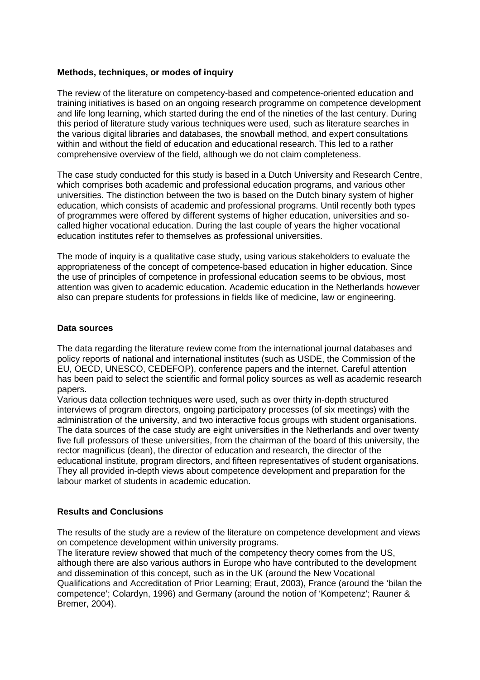## **Methods, techniques, or modes of inquiry**

The review of the literature on competency-based and competence-oriented education and training initiatives is based on an ongoing research programme on competence development and life long learning, which started during the end of the nineties of the last century. During this period of literature study various techniques were used, such as literature searches in the various digital libraries and databases, the snowball method, and expert consultations within and without the field of education and educational research. This led to a rather comprehensive overview of the field, although we do not claim completeness.

The case study conducted for this study is based in a Dutch University and Research Centre, which comprises both academic and professional education programs, and various other universities. The distinction between the two is based on the Dutch binary system of higher education, which consists of academic and professional programs. Until recently both types of programmes were offered by different systems of higher education, universities and socalled higher vocational education. During the last couple of years the higher vocational education institutes refer to themselves as professional universities.

The mode of inquiry is a qualitative case study, using various stakeholders to evaluate the appropriateness of the concept of competence-based education in higher education. Since the use of principles of competence in professional education seems to be obvious, most attention was given to academic education. Academic education in the Netherlands however also can prepare students for professions in fields like of medicine, law or engineering.

#### **Data sources**

The data regarding the literature review come from the international journal databases and policy reports of national and international institutes (such as USDE, the Commission of the EU, OECD, UNESCO, CEDEFOP), conference papers and the internet. Careful attention has been paid to select the scientific and formal policy sources as well as academic research papers.

Various data collection techniques were used, such as over thirty in-depth structured interviews of program directors, ongoing participatory processes (of six meetings) with the administration of the university, and two interactive focus groups with student organisations. The data sources of the case study are eight universities in the Netherlands and over twenty five full professors of these universities, from the chairman of the board of this university, the rector magnificus (dean), the director of education and research, the director of the educational institute, program directors, and fifteen representatives of student organisations. They all provided in-depth views about competence development and preparation for the labour market of students in academic education.

#### **Results and Conclusions**

The results of the study are a review of the literature on competence development and views on competence development within university programs.

The literature review showed that much of the competency theory comes from the US, although there are also various authors in Europe who have contributed to the development and dissemination of this concept, such as in the UK (around the New Vocational Qualifications and Accreditation of Prior Learning; Eraut, 2003), France (around the 'bilan the competence'; Colardyn, 1996) and Germany (around the notion of 'Kompetenz'; Rauner & Bremer, 2004).